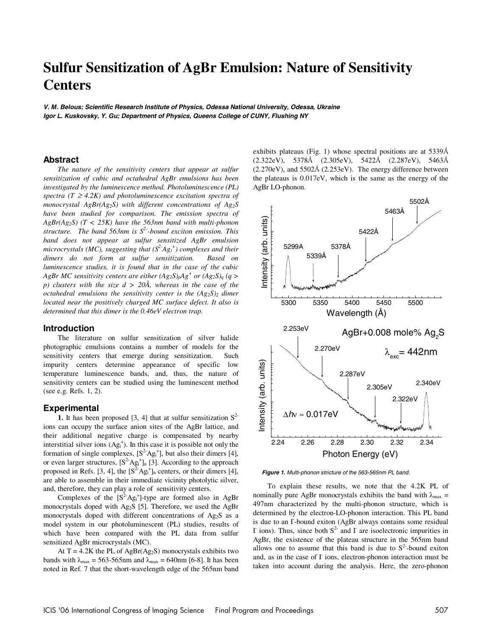# **Sulfur Sensitization of AgBr Emulsion: Nature of Sensitivity Centers**

*V. M. Belous; Scientific Research Institute of Physics, Odessa National University, Odessa, Ukraine Igor L. Kuskovsky, Y. Gu; Department of Physics, Queens College of CUNY, Flushing NY* 

# **Abstract**

*The nature of the sensitivity centers that appear at sulfur sensitization of cubic and octahedral AgBr emulsions has been investigated by the luminescence method. Photoluminescence (PL) spectra* ( $T \geq 4.2K$ ) and photoluminescence excitation spectra of *monocrystal AgBr(Ag2S) with different concentrations of Ag2S have been studied for comparison. The emission spectra of AgBr(Ag2S) (T < 25K) have the 563nm band with multi-phonon structure. The band 563nm is S2--bound exciton emission. This band does not appear at sulfur sensitized AgBr emulsion microcrystals (MC), suggesting that (S2-Agi +) complexes and their dimers do not form at sulfur sensitization. Based on luminescence studies, it is found that in the case of the cubic AgBr MC sensitivity centers are either*  $(Ag_2S)_nAg^+$  *or*  $(Ag_2S)_q$  *(q > p) clusters with the size d > 20Å, whereas in the case of the octahedral emulsions the sensitivity center is the*  $(Ag_2S)_2$  *dimer located near the positively charged MC surface defect. It also is determined that this dimer is the 0.46eV electron trap.* 

#### **Introduction**

The literature on sulfur sensitization of silver halide photographic emulsions contains a number of models for the sensitivity centers that emerge during sensitization. Such impurity centers determine appearance of specific low temperature luminescence bands, and, thus, the nature of sensitivity centers can be studied using the luminescent method (see e.g. Refs. 1, 2).

### **Experimental**

**1.** It has been proposed [3, 4] that at sulfur sensitization  $S^2$ ions can occupy the surface anion sites of the AgBr lattice, and their additional negative charge is compensated by nearby interstitial silver ions  $(Ag_i^+)$ . In this case it is possible not only the formation of single complexes,  $[S^2Ag_i^+]$ , but also their dimers [4], or even larger structures,  $[S^2Ag_i^+]_n$  [3]. According to the approach proposed in Refs. [3, 4], the  $[S^2Ag_i^+]_n$  centers, or their dimers [4], are able to assemble in their immediate vicinity photolytic silver, and, therefore, they can play a role of sensitivity centers.

Complexes of the  $[S^2Ag_i^+]$ -type are formed also in AgBr monocrystals doped with Ag2S [5]. Therefore, we used the AgBr monocrystals doped with different concentrations of Ag<sub>2</sub>S as a model system in our photoluminescent (PL) studies, results of which have been compared with the PL data from sulfur sensitized AgBr microcrystals (MC).

At  $T = 4.2K$  the PL of AgBr(Ag<sub>2</sub>S) monocrystals exhibits two bands with  $\lambda_{\text{max}} = 563{\text -}565$  nm and  $\lambda_{\text{max}} = 640$  nm [6-8]. It has been noted in Ref. 7 that the short-wavelength edge of the 565nm band exhibits plateaus (Fig. 1) whose spectral positions are at 5339Å (2.322eV), 5378Å (2.305eV), 5422Å (2.287eV), 5463Å  $(2.270 \text{eV})$ , and  $5502\text{\AA}$   $(2.253 \text{eV})$ . The energy difference between the plateaus is 0.017eV, which is the same as the energy of the AgBr LO-phonon.



*Figure 1***.** *Multi-phonon stricture of the 563-565nm PL band.* 

To explain these results, we note that the 4.2K PL of nominally pure AgBr monocrystals exhibits the band with  $\lambda_{\text{max}} =$ 497nm characterized by the multi-phonon structure, which is determined by the electron-LO-phonon interaction. This PL band is due to an I-bound exiton (AgBr always contains some residual I ions). Thus, since both  $S^2$  and I are isoelectronic impurities in AgBr, the existence of the plateau structure in the 565nm band allows one to assume that this band is due to  $S<sup>2</sup>$ -bound exiton and, as in the case of  $\Gamma$  ions, electron-phonon interaction must be taken into account during the analysis. Here, the zero-phonon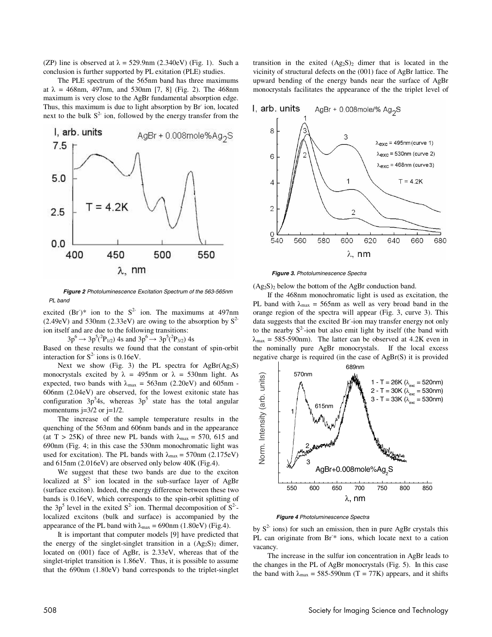(ZP) line is observed at  $\lambda = 529.9$ nm (2.340eV) (Fig. 1). Such a conclusion is further supported by PL exitation (PLE) studies.

The PLE spectrum of the 565nm band has three maximums at  $\lambda = 468$ nm, 497nm, and 530nm [7, 8] (Fig. 2). The 468nm maximum is very close to the AgBr fundamental absorption edge. Thus, this maximum is due to light absorption by Br ion, located next to the bulk  $S<sup>2</sup>$  ion, followed by the energy transfer from the



*Figure 2 Photoluminescence Excitation Spectrum of the 563-565nm PL band* 

excited  $(Br^*)^*$  ion to the  $S^2$  ion. The maximums at 497nm (2.49eV) and 530nm (2.33eV) are owing to the absorption by  $S^2$ ion itself and are due to the following transitions:

 $3p^6 \rightarrow 3p^5(^2P_{1/2})$  4s and  $3p^6 \rightarrow 3p^5(^2P_{3/2})$  4s<br>d on these results we found that the constant

Based on these results we found that the constant of spin-orbit interaction for  $S^2$  ions is 0.16eV.

Next we show (Fig. 3) the PL spectra for  $AgBr(Ag_2S)$ monocrystals excited by  $\lambda = 495$ nm or  $\lambda = 530$ nm light. As expected, two bands with  $\lambda_{\text{max}} = 563 \text{nm}$  (2.20eV) and 605nm -606nm (2.04eV) are observed, for the lowest exitonic state has configuration  $3p<sup>5</sup>4s$ , whereas  $3p<sup>5</sup>$  state has the total angular momentums  $j=3/2$  or  $j=1/2$ .

The increase of the sample temperature results in the quenching of the 563nm and 606nm bands and in the appearance (at T > 25K) of three new PL bands with  $\lambda_{\text{max}} = 570, 615$  and 690nm (Fig. 4; in this case the 530nm monochromatic light was used for excitation). The PL bands with  $\lambda_{\text{max}} = 570 \text{nm}$  (2.175eV) and 615nm (2.016eV) are observed only below 40K (Fig.4).

We suggest that these two bands are due to the exciton localized at  $S<sup>2</sup>$  ion located in the sub-surface layer of AgBr (surface exciton). Indeed, the energy difference between these two bands is 0.16eV, which corresponds to the spin-orbit splitting of the  $3p^5$  level in the exited  $S^2$  ion. Thermal decomposition of  $S^2$ localized excitons (bulk and surface) is accompanied by the appearance of the PL band with  $\lambda_{\text{max}} = 690 \text{nm}$  (1.80eV) (Fig.4).

It is important that computer models [9] have predicted that the energy of the singlet-singlet transition in a  $(Ag_2S)_2$  dimer, located on (001) face of AgBr, is 2.33eV, whereas that of the singlet-triplet transition is 1.86eV. Thus, it is possible to assume that the 690nm (1.80eV) band corresponds to the triplet-singlet transition in the exited  $(Ag_2S)_2$  dimer that is located in the vicinity of structural defects on the (001) face of AgBr lattice. The upward bending of the energy bands near the surface of AgBr monocrystals facilitates the appearance of the the triplet level of



*Figure 3***.** *Photoluminescence Spectra* 

 $(Ag_2S)_2$  below the bottom of the AgBr conduction band.

If the 468nm monochromatic light is used as excitation, the PL band with  $\lambda_{\text{max}} = 565 \text{nm}$  as well as very broad band in the orange region of the spectra will appear (Fig. 3, curve 3). This data suggests that the excited Br- -ion may transfer energy not only to the nearby  $S^2$ -ion but also emit light by itself (the band with  $\lambda_{\text{max}}$  = 585-590nm). The latter can be observed at 4.2K even in the nominally pure AgBr monocrystals. If the local excess negative charge is required (in the case of AgBr(S) it is provided



*Figure 4 Photoluminescence Spectra* 

by  $S^2$  ions) for such an emission, then in pure AgBr crystals this PL can originate from Br<sup>\*</sup> ions, which locate next to a cation vacancy.

The increase in the sulfur ion concentration in AgBr leads to the changes in the PL of AgBr monocrystals (Fig. 5). In this case the band with  $\lambda_{\text{max}} = 585 - 590 \text{nm}$  (T = 77K) appears, and it shifts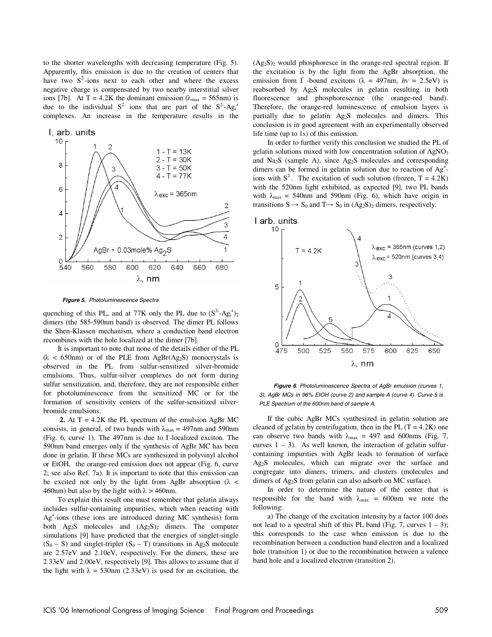to the shorter wavelengths with decreasing temperature (Fig. 5). Apparently, this emission is due to the creation of centers that have two  $S^2$ -ions next to each other and where the excess negative charge is compensated by two nearby interstitial silver ions [7b]. At T = 4.2K the dominant emission ( $\lambda_{\text{max}}$  = 565nm) is due to the individual  $S^2$  ions that are part of the  $S^2$ -Ag<sub>i</sub><sup>+</sup> complexes. An increase in the temperature results in the



*Figure 5***.** *Photoluminescence Spectra* 

quenching of this PL, and at 77K only the PL due to  $(S^2-Ag_i^{\dagger})_2$ dimers (the 585-590nm band) is observed. The dimer PL follows the Shen-Klassen mechanism, where a conduction band electron recombines with the hole localized at the dimer [7b].

It is important to note that none of the details either of the PL  $(\lambda < 650 \text{nm})$  or of the PLE from AgBr(Ag<sub>2</sub>S) monocrystals is observed in the PL from sulfur-sensitized silver-bromide emulsions. Thus, sulfur-silver complexes do not form during sulfur sensitization, and, therefore, they are not responsible either for photoluminescence from the sensitized MC or for the formation of sensitivity centers of the sulfur-sensitized silverbromide emulsions.

**2.** At  $T = 4.2K$  the PL spectrum of the emulsion AgBr MC consists, in general, of two bands with  $\lambda_{\text{max}} = 497 \text{nm}$  and 590nm (Fig. 6, curve 1). The 497nm is due to I-localized exciton. The 590nm band emerges only if the synthesis of AgBr MC has been done in gelatin. If these MCs are synthesized in polyvinyl alcohol or EtOH, the orange-red emission does not appear (Fig. 6, curve 2; see also Ref. 7a). It is important to note that this emission can be excited not only by the light from AgBr absorption ( $\lambda$  < 460nm) but also by the light with  $\lambda > 460$ nm.

To explain this result one must remember that gelatin always includes sulfur-containing impurities, which when reacting with Ag+ -ions (these ions are introduced during MC synthesis) form both  $Ag_2S$  molecules and  $(Ag_2S)_2$  dimers. The computer simulations [9] have predicted that the energies of singlet-single  $(S_0 - S)$  and singlet-triplet  $(S_0 - T)$  transitions in Ag<sub>2</sub>S molecule are 2.57eV and 2.10eV, respectively. For the dimers, these are 2.33eV and 2.00eV, respectively [9]. This allows to assume that if the light with  $\lambda = 530$ nm (2.33eV) is used for an excitation, the

 $(Ag<sub>2</sub>S)<sub>2</sub>$  would phosphoresce in the orange-red spectral region. If the excitation is by the light from the AgBr absorption, the emission from I -bound excitons ( $\lambda = 497$ nm,  $hv = 2.5$ eV) is reabsorbed by Ag2S molecules in gelatin resulting in both fluorescence and phosphorescence (the orange-red band). Therefore, the orange-red luminescence of emulsion layers is partially due to gelatin Ag2S molecules and dimers. This conclusion is in good agreement with an experimentally observed life time (up to 1s) of this emission.

In order to further verify this conclusion we studied the PL of gelatin solutions mixed with low concentration solution of AgNO<sub>3</sub> and Na2S (sample A), since Ag2S molecules and corresponding dimers can be formed in gelatin solution due to reaction of Ag<sup>+</sup>ions with  $S^2$ . The excitation of such solution (frozen, T = 4.2K) with the 520nm light exhibited, as expected [9], two PL bands with  $\lambda_{\text{max}} = 540$ nm and 590nm (Fig. 6), which have origin in transitions  $S \rightarrow S_0$  and  $T \rightarrow S_0$  in  $(Ag_2S)_2$  dimers, respectively.



*Figure 6*. *Photoluminescence Spectra of AgBr emulsion (curves 1, 3), AgBr MCs in 96% EtOH (curve 2) and sample A (curve 4). Curve 5 is PLE Spectrum of the 600nm band of sample A.* 

If the cubic AgBr MCs synthesized in gelatin solution are cleaned of gelatin by centrifugation, then in the PL  $(T = 4.2K)$  one can observe two bands with  $\lambda_{\text{max}} = 497$  and 600nms (Fig. 7, curves  $1 - 3$ ). As well known, the interaction of gelatin sulfurcontaining impurities with AgBr leads to formation of surface Ag2S molecules, which can migrate over the surface and congregate into dimers, trimers, and clusters (molecules and dimers of Ag2S from gelatin can also adsorb on MC surface).

In order to determine the nature of the center that is responsible for the band with  $\lambda_{\text{max}} = 600$ nm we note the following:

a) The change of the excitation intensity by a factor 100 does not lead to a spectral shift of this PL band (Fig. 7, curves  $1 - 3$ ); this corresponds to the case when emission is due to the recombination between a conduction band electron and a localized hole (transition 1) or due to the recombination between a valence band hole and a localized electron (transition 2).